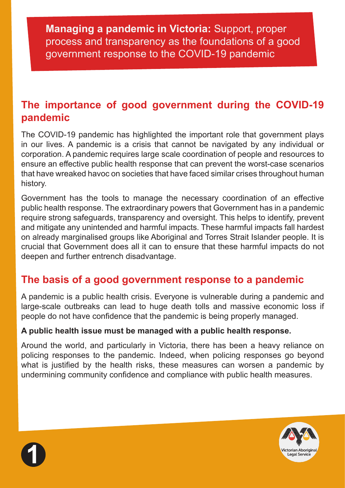# **The importance of good government during the COVID-19 pandemic**

The COVID-19 pandemic has highlighted the important role that government plays in our lives. A pandemic is a crisis that cannot be navigated by any individual or corporation. A pandemic requires large scale coordination of people and resources to ensure an effective public health response that can prevent the worst-case scenarios that have wreaked havoc on societies that have faced similar crises throughout human history.

Government has the tools to manage the necessary coordination of an effective public health response. The extraordinary powers that Government has in a pandemic require strong safeguards, transparency and oversight. This helps to identify, prevent and mitigate any unintended and harmful impacts. These harmful impacts fall hardest on already marginalised groups like Aboriginal and Torres Strait Islander people. It is crucial that Government does all it can to ensure that these harmful impacts do not deepen and further entrench disadvantage.

# **The basis of a good government response to a pandemic**

A pandemic is a public health crisis. Everyone is vulnerable during a pandemic and large-scale outbreaks can lead to huge death tolls and massive economic loss if people do not have confidence that the pandemic is being properly managed.

#### **A public health issue must be managed with a public health response.**

Around the world, and particularly in Victoria, there has been a heavy reliance on policing responses to the pandemic. Indeed, when policing responses go beyond what is justified by the health risks, these measures can worsen a pandemic by undermining community confidence and compliance with public health measures.



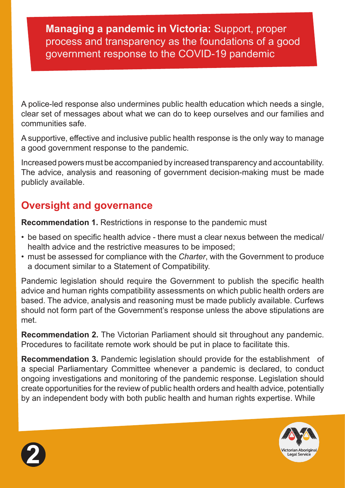A police-led response also undermines public health education which needs a single, clear set of messages about what we can do to keep ourselves and our families and communities safe.

A supportive, effective and inclusive public health response is the only way to manage a good government response to the pandemic.

Increased powers must be accompanied by increased transparency and accountability. The advice, analysis and reasoning of government decision-making must be made publicly available.

# **Oversight and governance**

**Recommendation 1.** Restrictions in response to the pandemic must

- be based on specific health advice there must a clear nexus between the medical/ health advice and the restrictive measures to be imposed;
- must be assessed for compliance with the *Charter*, with the Government to produce a document similar to a Statement of Compatibility.

Pandemic legislation should require the Government to publish the specific health advice and human rights compatibility assessments on which public health orders are based. The advice, analysis and reasoning must be made publicly available. Curfews should not form part of the Government's response unless the above stipulations are met.

**Recommendation 2.** The Victorian Parliament should sit throughout any pandemic. Procedures to facilitate remote work should be put in place to facilitate this.

**Recommendation 3.** Pandemic legislation should provide for the establishment of a special Parliamentary Committee whenever a pandemic is declared, to conduct ongoing investigations and monitoring of the pandemic response. Legislation should create opportunities for the review of public health orders and health advice, potentially by an independent body with both public health and human rights expertise. While



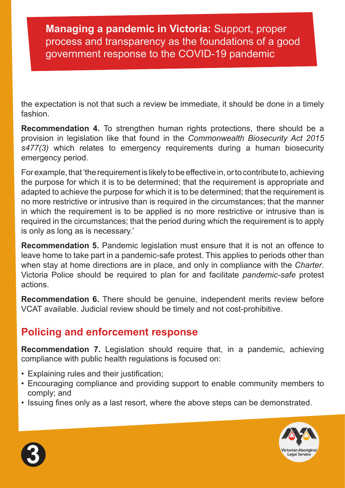the expectation is not that such a review be immediate, it should be done in a timely fashion.

**Recommendation 4.** To strengthen human rights protections, there should be a provision in legislation like that found in the *Commonwealth Biosecurity Act 2015 s477(3)* which relates to emergency requirements during a human biosecurity emergency period.

For example, that 'the requirement is likely to be effective in, or to contribute to, achieving the purpose for which it is to be determined; that the requirement is appropriate and adapted to achieve the purpose for which it is to be determined; that the requirement is no more restrictive or intrusive than is required in the circumstances; that the manner in which the requirement is to be applied is no more restrictive or intrusive than is required in the circumstances; that the period during which the requirement is to apply is only as long as is necessary.'

**Recommendation 5.** Pandemic legislation must ensure that it is not an offence to leave home to take part in a pandemic-safe protest. This applies to periods other than when stay at home directions are in place, and only in compliance with the *Charter*. Victoria Police should be required to plan for and facilitate *pandemic-safe* protest actions.

**Recommendation 6.** There should be genuine, independent merits review before VCAT available. Judicial review should be timely and not cost-prohibitive.

# **Policing and enforcement response**

**Recommendation 7.** Legislation should require that, in a pandemic, achieving compliance with public health regulations is focused on:

- Explaining rules and their justification:
- Encouraging compliance and providing support to enable community members to comply; and
- Issuing fines only as a last resort, where the above steps can be demonstrated.



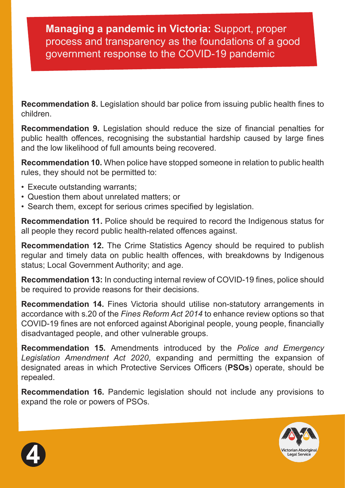**Recommendation 8.** Legislation should bar police from issuing public health fines to children.

**Recommendation 9.** Legislation should reduce the size of financial penalties for public health offences, recognising the substantial hardship caused by large fines and the low likelihood of full amounts being recovered.

**Recommendation 10.** When police have stopped someone in relation to public health rules, they should not be permitted to:

- Execute outstanding warrants;
- Question them about unrelated matters; or
- Search them, except for serious crimes specified by legislation.

**Recommendation 11.** Police should be required to record the Indigenous status for all people they record public health-related offences against.

**Recommendation 12.** The Crime Statistics Agency should be required to publish regular and timely data on public health offences, with breakdowns by Indigenous status; Local Government Authority; and age.

**Recommendation 13:** In conducting internal review of COVID-19 fines, police should be required to provide reasons for their decisions.

**Recommendation 14.** Fines Victoria should utilise non-statutory arrangements in accordance with s.20 of the *Fines Reform Act 2014* to enhance review options so that COVID-19 fines are not enforced against Aboriginal people, young people, financially disadvantaged people, and other vulnerable groups.

**Recommendation 15.** Amendments introduced by the *Police and Emergency Legislation Amendment Act 2020*, expanding and permitting the expansion of designated areas in which Protective Services Officers (**PSOs**) operate, should be repealed.

**Recommendation 16.** Pandemic legislation should not include any provisions to expand the role or powers of PSOs.



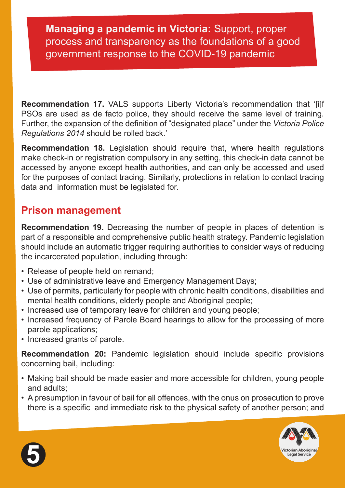**Recommendation 17.** VALS supports Liberty Victoria's recommendation that '[i]f PSOs are used as de facto police, they should receive the same level of training. Further, the expansion of the definition of "designated place" under the *Victoria Police Regulations 2014* should be rolled back.'

**Recommendation 18.** Legislation should require that, where health regulations make check-in or registration compulsory in any setting, this check-in data cannot be accessed by anyone except health authorities, and can only be accessed and used for the purposes of contact tracing. Similarly, protections in relation to contact tracing data and information must be legislated for.

# **Prison management**

**Recommendation 19.** Decreasing the number of people in places of detention is part of a responsible and comprehensive public health strategy. Pandemic legislation should include an automatic trigger requiring authorities to consider ways of reducing the incarcerated population, including through:

- Release of people held on remand;
- Use of administrative leave and Emergency Management Days;
- Use of permits, particularly for people with chronic health conditions, disabilities and mental health conditions, elderly people and Aboriginal people;
- Increased use of temporary leave for children and young people;
- Increased frequency of Parole Board hearings to allow for the processing of more parole applications;
- Increased grants of parole.

**Recommendation 20:** Pandemic legislation should include specific provisions concerning bail, including:

- Making bail should be made easier and more accessible for children, young people and adults;
- A presumption in favour of bail for all offences, with the onus on prosecution to prove there is a specific and immediate risk to the physical safety of another person; and



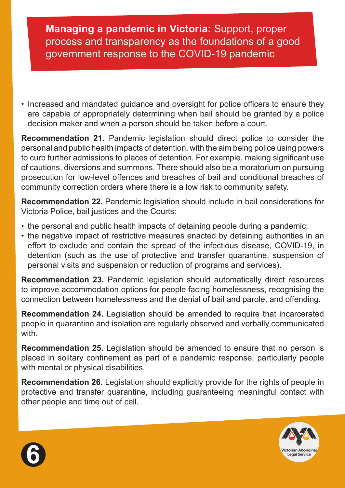• Increased and mandated guidance and oversight for police officers to ensure they are capable of appropriately determining when bail should be granted by a police decision maker and when a person should be taken before a court.

**Recommendation 21.** Pandemic legislation should direct police to consider the personal and public health impacts of detention, with the aim being police using powers to curb further admissions to places of detention. For example, making significant use of cautions, diversions and summons. There should also be a moratorium on pursuing prosecution for low-level offences and breaches of bail and conditional breaches of community correction orders where there is a low risk to community safety.

**Recommendation 22.** Pandemic legislation should include in bail considerations for Victoria Police, bail justices and the Courts:

- the personal and public health impacts of detaining people during a pandemic;
- the negative impact of restrictive measures enacted by detaining authorities in an effort to exclude and contain the spread of the infectious disease, COVID-19, in detention (such as the use of protective and transfer quarantine, suspension of personal visits and suspension or reduction of programs and services).

**Recommendation 23.** Pandemic legislation should automatically direct resources to improve accommodation options for people facing homelessness, recognising the connection between homelessness and the denial of bail and parole, and offending.

**Recommendation 24.** Legislation should be amended to require that incarcerated people in quarantine and isolation are regularly observed and verbally communicated with.

**Recommendation 25.** Legislation should be amended to ensure that no person is placed in solitary confinement as part of a pandemic response, particularly people with mental or physical disabilities.

**Recommendation 26.** Legislation should explicitly provide for the rights of people in protective and transfer quarantine, including guaranteeing meaningful contact with other people and time out of cell.



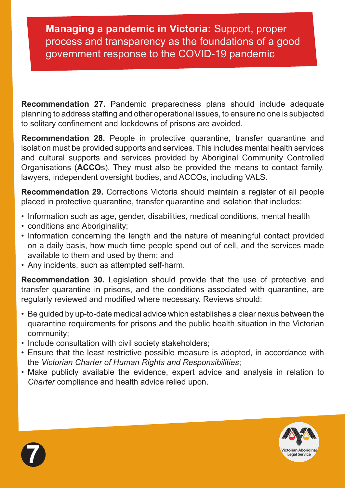**Recommendation 27.** Pandemic preparedness plans should include adequate planning to address staffing and other operational issues, to ensure no one is subjected to solitary confinement and lockdowns of prisons are avoided.

**Recommendation 28.** People in protective quarantine, transfer quarantine and isolation must be provided supports and services. This includes mental health services and cultural supports and services provided by Aboriginal Community Controlled Organisations (**ACCO**s). They must also be provided the means to contact family, lawyers, independent oversight bodies, and ACCOs, including VALS.

**Recommendation 29.** Corrections Victoria should maintain a register of all people placed in protective quarantine, transfer quarantine and isolation that includes:

- Information such as age, gender, disabilities, medical conditions, mental health
- conditions and Aboriginality;
- Information concerning the length and the nature of meaningful contact provided on a daily basis, how much time people spend out of cell, and the services made available to them and used by them; and
- Any incidents, such as attempted self-harm.

**Recommendation 30.** Legislation should provide that the use of protective and transfer quarantine in prisons, and the conditions associated with quarantine, are regularly reviewed and modified where necessary. Reviews should:

- Be guided by up-to-date medical advice which establishes a clear nexus between the quarantine requirements for prisons and the public health situation in the Victorian community;
- Include consultation with civil society stakeholders;
- Ensure that the least restrictive possible measure is adopted, in accordance with the *Victorian Charter of Human Rights and Responsibilities*;
- Make publicly available the evidence, expert advice and analysis in relation to *Charter* compliance and health advice relied upon.



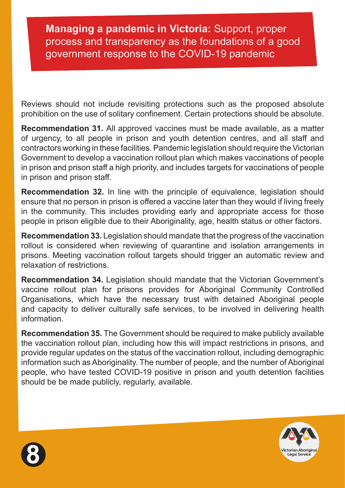Reviews should not include revisiting protections such as the proposed absolute prohibition on the use of solitary confinement. Certain protections should be absolute.

**Recommendation 31.** All approved vaccines must be made available, as a matter of urgency, to all people in prison and youth detention centres, and all staff and contractors working in these facilities. Pandemic legislation should require the Victorian Government to develop a vaccination rollout plan which makes vaccinations of people in prison and prison staff a high priority, and includes targets for vaccinations of people in prison and prison staff.

**Recommendation 32.** In line with the principle of equivalence, legislation should ensure that no person in prison is offered a vaccine later than they would if living freely in the community. This includes providing early and appropriate access for those people in prison eligible due to their Aboriginality, age, health status or other factors.

**Recommendation 33.** Legislation should mandate that the progress of the vaccination rollout is considered when reviewing of quarantine and isolation arrangements in prisons. Meeting vaccination rollout targets should trigger an automatic review and relaxation of restrictions.

**Recommendation 34.** Legislation should mandate that the Victorian Government's vaccine rollout plan for prisons provides for Aboriginal Community Controlled Organisations, which have the necessary trust with detained Aboriginal people and capacity to deliver culturally safe services, to be involved in delivering health information.

**Recommendation 35.** The Government should be required to make publicly available the vaccination rollout plan, including how this will impact restrictions in prisons, and provide regular updates on the status of the vaccination rollout, including demographic information such as Aboriginality. The number of people, and the number of Aboriginal people, who have tested COVID-19 positive in prison and youth detention facilities should be be made publicly, regularly, available.



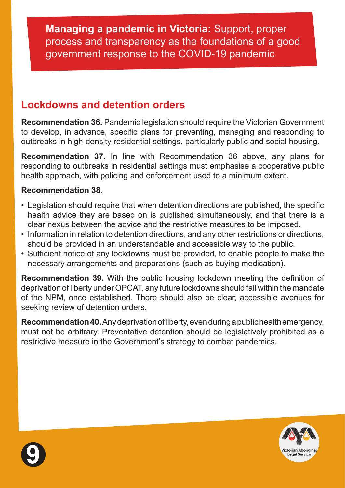# **Lockdowns and detention orders**

**Recommendation 36.** Pandemic legislation should require the Victorian Government to develop, in advance, specific plans for preventing, managing and responding to outbreaks in high-density residential settings, particularly public and social housing.

**Recommendation 37.** In line with Recommendation 36 above, any plans for responding to outbreaks in residential settings must emphasise a cooperative public health approach, with policing and enforcement used to a minimum extent.

#### **Recommendation 38.**

- Legislation should require that when detention directions are published, the specific health advice they are based on is published simultaneously, and that there is a clear nexus between the advice and the restrictive measures to be imposed.
- Information in relation to detention directions, and any other restrictions or directions, should be provided in an understandable and accessible way to the public.
- Sufficient notice of any lockdowns must be provided, to enable people to make the necessary arrangements and preparations (such as buying medication).

**Recommendation 39.** With the public housing lockdown meeting the definition of deprivation of liberty under OPCAT, any future lockdowns should fall within the mandate of the NPM, once established. There should also be clear, accessible avenues for seeking review of detention orders.

**Recommendation 40.** Any deprivation of liberty, even during a public health emergency, must not be arbitrary. Preventative detention should be legislatively prohibited as a restrictive measure in the Government's strategy to combat pandemics.